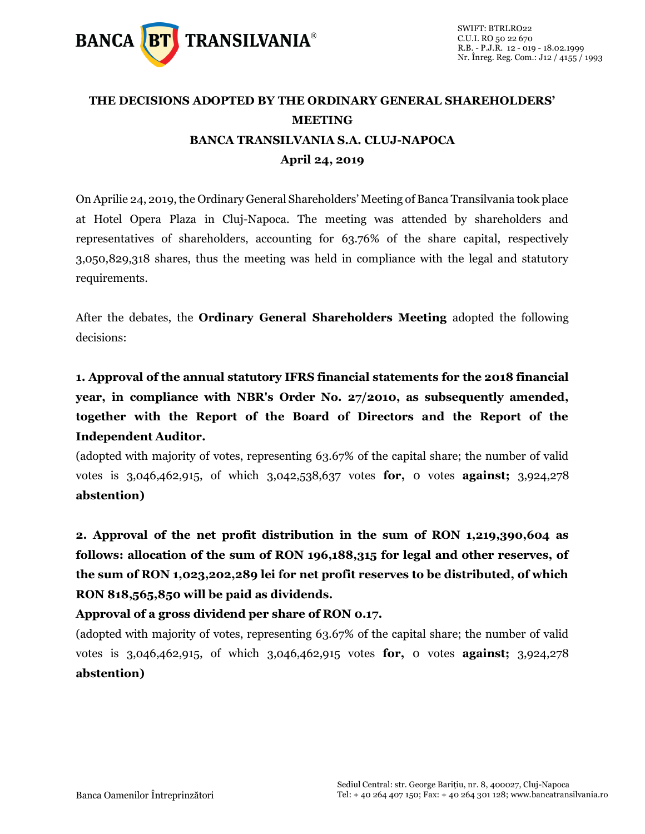

## **THE DECISIONS ADOPTED BY THE ORDINARY GENERAL SHAREHOLDERS' MEETING BANCA TRANSILVANIA S.A. CLUJ-NAPOCA April 24, 2019**

On Aprilie 24, 2019, the Ordinary General Shareholders' Meeting of Banca Transilvania took place at Hotel Opera Plaza in Cluj-Napoca. The meeting was attended by shareholders and representatives of shareholders, accounting for 63.76% of the share capital, respectively 3,050,829,318 shares, thus the meeting was held in compliance with the legal and statutory requirements.

After the debates, the **Ordinary General Shareholders Meeting** adopted the following decisions:

**1. Approval of the annual statutory IFRS financial statements for the 2018 financial year, in compliance with NBR's Order No. 27/2010, as subsequently amended, together with the Report of the Board of Directors and the Report of the Independent Auditor.**

(adopted with majority of votes, representing 63.67% of the capital share; the number of valid votes is 3,046,462,915, of which 3,042,538,637 votes **for,** 0 votes **against;** 3,924,278 **abstention)**

**2. Approval of the net profit distribution in the sum of RON 1,219,390,604 as follows: allocation of the sum of RON 196,188,315 for legal and other reserves, of the sum of RON 1,023,202,289 lei for net profit reserves to be distributed, of which RON 818,565,850 will be paid as dividends.** 

**Approval of a gross dividend per share of RON 0.17.**

(adopted with majority of votes, representing 63.67% of the capital share; the number of valid votes is 3,046,462,915, of which 3,046,462,915 votes **for,** 0 votes **against;** 3,924,278 **abstention)**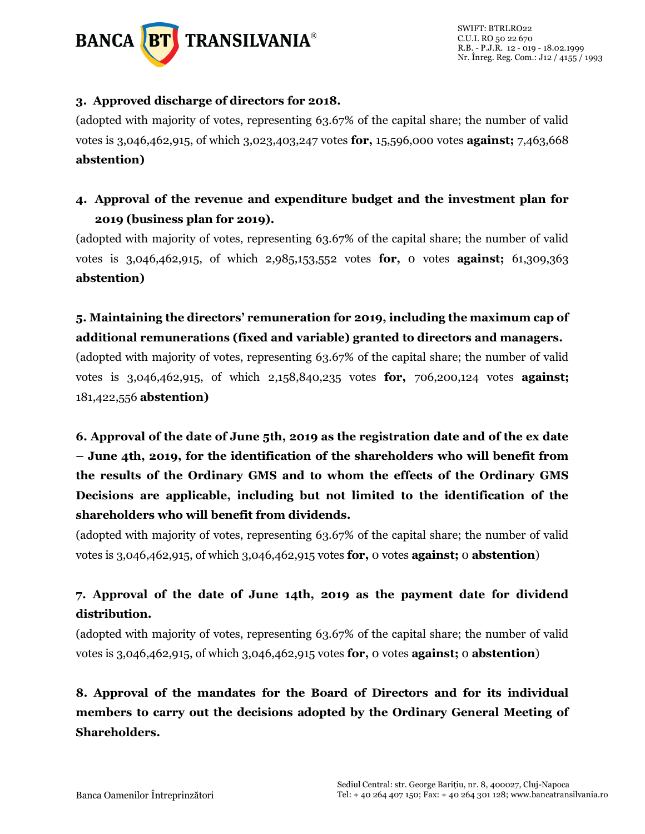

#### **3. Approved discharge of directors for 2018.**

(adopted with majority of votes, representing 63.67% of the capital share; the number of valid votes is 3,046,462,915, of which 3,023,403,247 votes **for,** 15,596,000 votes **against;** 7,463,668 **abstention)**

### **4. Approval of the revenue and expenditure budget and the investment plan for 2019 (business plan for 2019).**

(adopted with majority of votes, representing 63.67% of the capital share; the number of valid votes is 3,046,462,915, of which 2,985,153,552 votes **for,** 0 votes **against;** 61,309,363 **abstention)**

# **5. Maintaining the directors' remuneration for 2019, including the maximum cap of additional remunerations (fixed and variable) granted to directors and managers.**

(adopted with majority of votes, representing 63.67% of the capital share; the number of valid votes is 3,046,462,915, of which 2,158,840,235 votes **for,** 706,200,124 votes **against;** 181,422,556 **abstention)**

**6. Approval of the date of June 5th, 2019 as the registration date and of the ex date – June 4th, 2019, for the identification of the shareholders who will benefit from the results of the Ordinary GMS and to whom the effects of the Ordinary GMS Decisions are applicable, including but not limited to the identification of the shareholders who will benefit from dividends.**

(adopted with majority of votes, representing 63.67% of the capital share; the number of valid votes is 3,046,462,915, of which 3,046,462,915 votes **for,** 0 votes **against;** 0 **abstention**)

### **7. Approval of the date of June 14th, 2019 as the payment date for dividend distribution.**

(adopted with majority of votes, representing 63.67% of the capital share; the number of valid votes is 3,046,462,915, of which 3,046,462,915 votes **for,** 0 votes **against;** 0 **abstention**)

**8. Approval of the mandates for the Board of Directors and for its individual members to carry out the decisions adopted by the Ordinary General Meeting of Shareholders.**